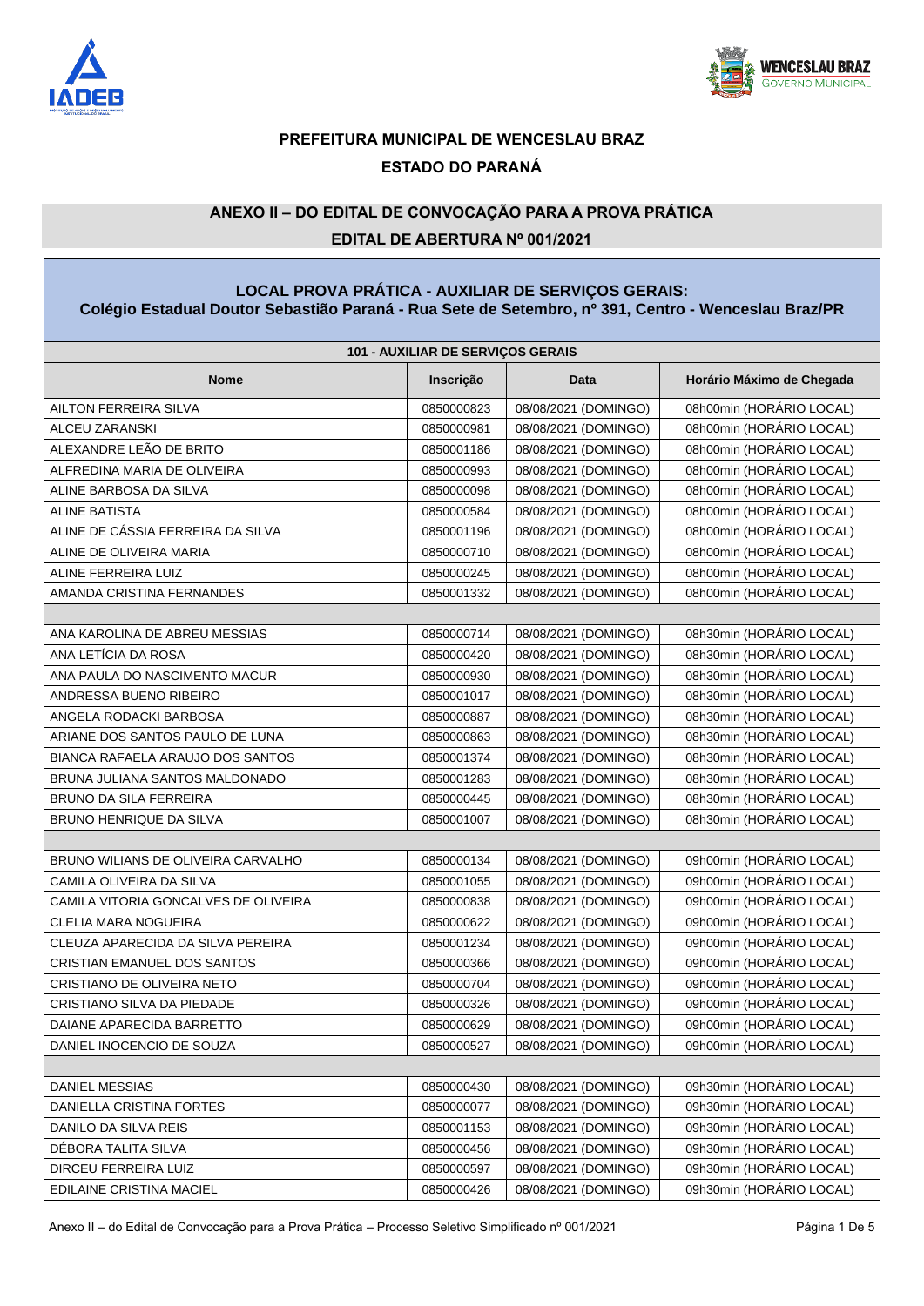



## **PREFEITURA MUNICIPAL DE WENCESLAU BRAZ ESTADO DO PARANÁ**

## **ANEXO II – DO EDITAL DE CONVOCAÇÃO PARA A PROVA PRÁTICA**

## **EDITAL DE ABERTURA Nº 001/2021**

| LOCAL PROVA PRÁTICA - AUXILIAR DE SERVIÇOS GERAIS:<br>Colégio Estadual Doutor Sebastião Paraná - Rua Sete de Setembro, nº 391, Centro - Wenceslau Braz/PR |                                          |                      |                           |
|-----------------------------------------------------------------------------------------------------------------------------------------------------------|------------------------------------------|----------------------|---------------------------|
|                                                                                                                                                           | <b>101 - AUXILIAR DE SERVIÇOS GERAIS</b> |                      |                           |
| <b>Nome</b>                                                                                                                                               | Inscrição                                | Data                 | Horário Máximo de Chegada |
| AILTON FERREIRA SILVA                                                                                                                                     | 0850000823                               | 08/08/2021 (DOMINGO) | 08h00min (HORÁRIO LOCAL)  |
| ALCEU ZARANSKI                                                                                                                                            | 0850000981                               | 08/08/2021 (DOMINGO) | 08h00min (HORÁRIO LOCAL)  |
| ALEXANDRE LEÃO DE BRITO                                                                                                                                   | 0850001186                               | 08/08/2021 (DOMINGO) | 08h00min (HORÁRIO LOCAL)  |
| ALFREDINA MARIA DE OLIVEIRA                                                                                                                               | 0850000993                               | 08/08/2021 (DOMINGO) | 08h00min (HORÁRIO LOCAL)  |
| ALINE BARBOSA DA SILVA                                                                                                                                    | 0850000098                               | 08/08/2021 (DOMINGO) | 08h00min (HORÁRIO LOCAL)  |
| <b>ALINE BATISTA</b>                                                                                                                                      | 0850000584                               | 08/08/2021 (DOMINGO) | 08h00min (HORÁRIO LOCAL)  |
| ALINE DE CÀSSIA FERREIRA DA SILVA                                                                                                                         | 0850001196                               | 08/08/2021 (DOMINGO) | 08h00min (HORÁRIO LOCAL)  |
| ALINE DE OLIVEIRA MARIA                                                                                                                                   | 0850000710                               | 08/08/2021 (DOMINGO) | 08h00min (HORÁRIO LOCAL)  |
| ALINE FERREIRA LUIZ                                                                                                                                       | 0850000245                               | 08/08/2021 (DOMINGO) | 08h00min (HORÁRIO LOCAL)  |
| AMANDA CRISTINA FERNANDES                                                                                                                                 | 0850001332                               | 08/08/2021 (DOMINGO) | 08h00min (HORÁRIO LOCAL)  |
|                                                                                                                                                           |                                          |                      |                           |
| ANA KAROLINA DE ABREU MESSIAS                                                                                                                             | 0850000714                               | 08/08/2021 (DOMINGO) | 08h30min (HORÁRIO LOCAL)  |
| ANA LETÍCIA DA ROSA                                                                                                                                       | 0850000420                               | 08/08/2021 (DOMINGO) | 08h30min (HORÁRIO LOCAL)  |
| ANA PAULA DO NASCIMENTO MACUR                                                                                                                             | 0850000930                               | 08/08/2021 (DOMINGO) | 08h30min (HORÁRIO LOCAL)  |
| ANDRESSA BUENO RIBEIRO                                                                                                                                    | 0850001017                               | 08/08/2021 (DOMINGO) | 08h30min (HORÁRIO LOCAL)  |
| ANGELA RODACKI BARBOSA                                                                                                                                    | 0850000887                               | 08/08/2021 (DOMINGO) | 08h30min (HORÁRIO LOCAL)  |
| ARIANE DOS SANTOS PAULO DE LUNA                                                                                                                           | 0850000863                               | 08/08/2021 (DOMINGO) | 08h30min (HORÁRIO LOCAL)  |
| BIANCA RAFAELA ARAUJO DOS SANTOS                                                                                                                          | 0850001374                               | 08/08/2021 (DOMINGO) | 08h30min (HORÁRIO LOCAL)  |
| BRUNA JULIANA SANTOS MALDONADO                                                                                                                            | 0850001283                               | 08/08/2021 (DOMINGO) | 08h30min (HORÁRIO LOCAL)  |
| <b>BRUNO DA SILA FERREIRA</b>                                                                                                                             | 0850000445                               | 08/08/2021 (DOMINGO) | 08h30min (HORÁRIO LOCAL)  |
| <b>BRUNO HENRIQUE DA SILVA</b>                                                                                                                            | 0850001007                               | 08/08/2021 (DOMINGO) | 08h30min (HORÁRIO LOCAL)  |
|                                                                                                                                                           |                                          |                      |                           |
| BRUNO WILIANS DE OLIVEIRA CARVALHO                                                                                                                        | 0850000134                               | 08/08/2021 (DOMINGO) | 09h00min (HORÁRIO LOCAL)  |
| CAMILA OLIVEIRA DA SILVA                                                                                                                                  | 0850001055                               | 08/08/2021 (DOMINGO) | 09h00min (HORÁRIO LOCAL)  |
| CAMILA VITORIA GONCALVES DE OLIVEIRA                                                                                                                      | 0850000838                               | 08/08/2021 (DOMINGO) | 09h00min (HORÁRIO LOCAL)  |
| CLELIA MARA NOGUEIRA                                                                                                                                      | 0850000622                               | 08/08/2021 (DOMINGO) | 09h00min (HORÁRIO LOCAL)  |
| CLEUZA APARECIDA DA SILVA PEREIRA                                                                                                                         | 0850001234                               | 08/08/2021 (DOMINGO) | 09h00min (HORÁRIO LOCAL)  |
| CRISTIAN EMANUEL DOS SANTOS                                                                                                                               | 0850000366                               | 08/08/2021 (DOMINGO) | 09h00min (HORÁRIO LOCAL)  |
| CRISTIANO DE OLIVEIRA NETO                                                                                                                                | 0850000704                               | 08/08/2021 (DOMINGO) | 09h00min (HORÁRIO LOCAL)  |
| CRISTIANO SILVA DA PIEDADE                                                                                                                                | 0850000326                               | 08/08/2021 (DOMINGO) | 09h00min (HORÁRIO LOCAL)  |
| DAIANE APARECIDA BARRETTO                                                                                                                                 | 0850000629                               | 08/08/2021 (DOMINGO) | 09h00min (HORÁRIO LOCAL)  |
| DANIEL INOCENCIO DE SOUZA                                                                                                                                 | 0850000527                               | 08/08/2021 (DOMINGO) | 09h00min (HORÁRIO LOCAL)  |
|                                                                                                                                                           |                                          |                      |                           |
| <b>DANIEL MESSIAS</b>                                                                                                                                     | 0850000430                               | 08/08/2021 (DOMINGO) | 09h30min (HORÁRIO LOCAL)  |
| DANIELLA CRISTINA FORTES                                                                                                                                  | 0850000077                               | 08/08/2021 (DOMINGO) | 09h30min (HORÁRIO LOCAL)  |
| DANILO DA SILVA REIS                                                                                                                                      | 0850001153                               | 08/08/2021 (DOMINGO) | 09h30min (HORÁRIO LOCAL)  |
| DÉBORA TALITA SILVA                                                                                                                                       | 0850000456                               | 08/08/2021 (DOMINGO) | 09h30min (HORÁRIO LOCAL)  |
| <b>DIRCEU FERREIRA LUIZ</b>                                                                                                                               | 0850000597                               | 08/08/2021 (DOMINGO) | 09h30min (HORÁRIO LOCAL)  |
| EDILAINE CRISTINA MACIEL                                                                                                                                  | 0850000426                               | 08/08/2021 (DOMINGO) | 09h30min (HORÁRIO LOCAL)  |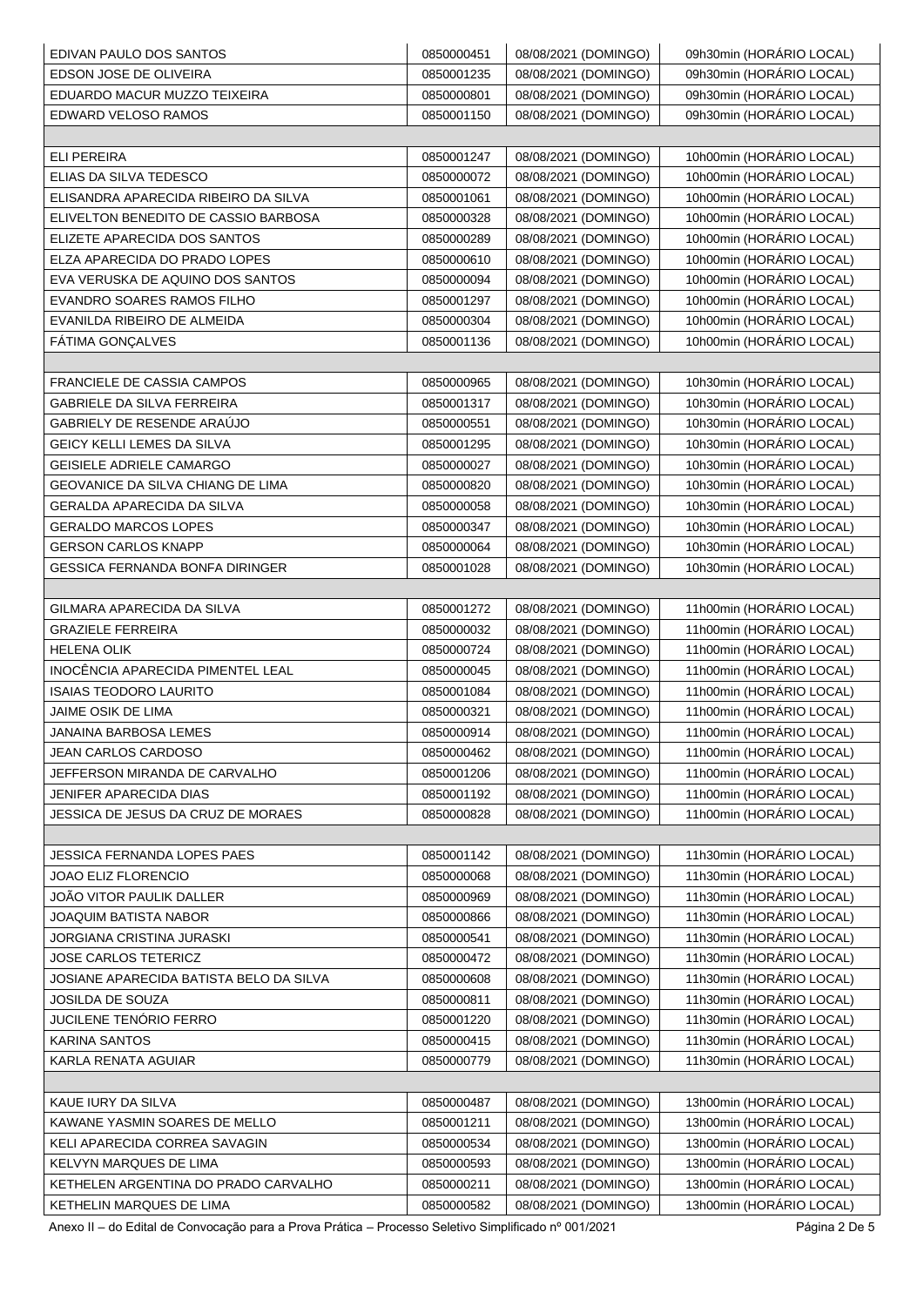| EDIVAN PAULO DOS SANTOS                                        | 0850000451 | 08/08/2021 (DOMINGO) | 09h30min (HORÁRIO LOCAL) |
|----------------------------------------------------------------|------------|----------------------|--------------------------|
| EDSON JOSE DE OLIVEIRA                                         | 0850001235 | 08/08/2021 (DOMINGO) | 09h30min (HORÁRIO LOCAL) |
| EDUARDO MACUR MUZZO TEIXEIRA                                   | 0850000801 | 08/08/2021 (DOMINGO) | 09h30min (HORÁRIO LOCAL) |
| EDWARD VELOSO RAMOS                                            | 0850001150 | 08/08/2021 (DOMINGO) | 09h30min (HORÁRIO LOCAL) |
|                                                                |            |                      |                          |
| <b>ELI PEREIRA</b>                                             | 0850001247 | 08/08/2021 (DOMINGO) | 10h00min (HORÁRIO LOCAL) |
| ELIAS DA SILVA TEDESCO                                         | 0850000072 | 08/08/2021 (DOMINGO) | 10h00min (HORÁRIO LOCAL) |
| ELISANDRA APARECIDA RIBEIRO DA SILVA                           | 0850001061 | 08/08/2021 (DOMINGO) | 10h00min (HORÁRIO LOCAL) |
| ELIVELTON BENEDITO DE CASSIO BARBOSA                           | 0850000328 | 08/08/2021 (DOMINGO) | 10h00min (HORÁRIO LOCAL) |
| ELIZETE APARECIDA DOS SANTOS                                   | 0850000289 | 08/08/2021 (DOMINGO) | 10h00min (HORÁRIO LOCAL) |
| ELZA APARECIDA DO PRADO LOPES                                  | 0850000610 | 08/08/2021 (DOMINGO) | 10h00min (HORÁRIO LOCAL) |
| EVA VERUSKA DE AQUINO DOS SANTOS                               | 0850000094 | 08/08/2021 (DOMINGO) | 10h00min (HORÁRIO LOCAL) |
| EVANDRO SOARES RAMOS FILHO                                     | 0850001297 | 08/08/2021 (DOMINGO) | 10h00min (HORÁRIO LOCAL) |
| EVANILDA RIBEIRO DE ALMEIDA                                    | 0850000304 | 08/08/2021 (DOMINGO) | 10h00min (HORÁRIO LOCAL) |
| FATIMA GONÇALVES                                               | 0850001136 | 08/08/2021 (DOMINGO) | 10h00min (HORÁRIO LOCAL) |
|                                                                |            |                      |                          |
| FRANCIELE DE CASSIA CAMPOS                                     | 0850000965 | 08/08/2021 (DOMINGO) | 10h30min (HORÁRIO LOCAL) |
| <b>GABRIELE DA SILVA FERREIRA</b>                              | 0850001317 | 08/08/2021 (DOMINGO) | 10h30min (HORÁRIO LOCAL) |
| GABRIELY DE RESENDE ARAÚJO                                     | 0850000551 | 08/08/2021 (DOMINGO) | 10h30min (HORÁRIO LOCAL) |
| GEICY KELLI LEMES DA SILVA                                     | 0850001295 | 08/08/2021 (DOMINGO) | 10h30min (HORÁRIO LOCAL) |
| GEISIELE ADRIELE CAMARGO                                       | 0850000027 | 08/08/2021 (DOMINGO) | 10h30min (HORÁRIO LOCAL) |
| GEOVANICE DA SILVA CHIANG DE LIMA                              | 0850000820 | 08/08/2021 (DOMINGO) | 10h30min (HORÁRIO LOCAL) |
| GERALDA APARECIDA DA SILVA                                     | 0850000058 | 08/08/2021 (DOMINGO) | 10h30min (HORÁRIO LOCAL) |
| GERALDO MARCOS LOPES                                           | 0850000347 | 08/08/2021 (DOMINGO) | 10h30min (HORÁRIO LOCAL) |
| <b>GERSON CARLOS KNAPP</b>                                     | 0850000064 | 08/08/2021 (DOMINGO) | 10h30min (HORÁRIO LOCAL) |
| GESSICA FERNANDA BONFA DIRINGER                                | 0850001028 | 08/08/2021 (DOMINGO) | 10h30min (HORÁRIO LOCAL) |
|                                                                |            |                      |                          |
| GILMARA APARECIDA DA SILVA                                     | 0850001272 | 08/08/2021 (DOMINGO) | 11h00min (HORÁRIO LOCAL) |
| <b>GRAZIELE FERREIRA</b>                                       | 0850000032 | 08/08/2021 (DOMINGO) | 11h00min (HORÁRIO LOCAL) |
| HELENA OLIK                                                    | 0850000724 | 08/08/2021 (DOMINGO) | 11h00min (HORÁRIO LOCAL) |
| INOCÊNCIA APARECIDA PIMENTEL LEAL                              | 0850000045 | 08/08/2021 (DOMINGO) | 11h00min (HORÁRIO LOCAL) |
| <b>ISAIAS TEODORO LAURITO</b>                                  | 0850001084 | 08/08/2021 (DOMINGO) | 11h00min (HORÁRIO LOCAL) |
| JAIME OSIK DE LIMA                                             | 0850000321 | 08/08/2021 (DOMINGO) | 11h00min (HORÁRIO LOCAL) |
| JANAINA BARBOSA LEMES                                          | 0850000914 | 08/08/2021 (DOMINGO) | 11h00min (HORÁRIO LOCAL) |
| JEAN CARLOS CARDOSO                                            | 0850000462 | 08/08/2021 (DOMINGO) | 11h00min (HORÁRIO LOCAL) |
| JEFFERSON MIRANDA DE CARVALHO<br><b>JENIFER APARECIDA DIAS</b> | 0850001206 | 08/08/2021 (DOMINGO) | 11h00min (HORÁRIO LOCAL) |
|                                                                | 0850001192 | 08/08/2021 (DOMINGO) | 11h00min (HORÁRIO LOCAL) |
| JESSICA DE JESUS DA CRUZ DE MORAES                             | 0850000828 | 08/08/2021 (DOMINGO) | 11h00min (HORÁRIO LOCAL) |
| JESSICA FERNANDA LOPES PAES                                    | 0850001142 | 08/08/2021 (DOMINGO) | 11h30min (HORÁRIO LOCAL) |
| JOAO ELIZ FLORENCIO                                            | 0850000068 | 08/08/2021 (DOMINGO) | 11h30min (HORÁRIO LOCAL) |
| JOÃO VITOR PAULIK DALLER                                       | 0850000969 | 08/08/2021 (DOMINGO) | 11h30min (HORÁRIO LOCAL) |
| JOAQUIM BATISTA NABOR                                          | 0850000866 | 08/08/2021 (DOMINGO) | 11h30min (HORÁRIO LOCAL) |
| JORGIANA CRISTINA JURASKI                                      | 0850000541 | 08/08/2021 (DOMINGO) | 11h30min (HORÁRIO LOCAL) |
| JOSE CARLOS TETERICZ                                           | 0850000472 | 08/08/2021 (DOMINGO) | 11h30min (HORÁRIO LOCAL) |
| JOSIANE APARECIDA BATISTA BELO DA SILVA                        | 0850000608 | 08/08/2021 (DOMINGO) | 11h30min (HORÁRIO LOCAL) |
| <b>JOSILDA DE SOUZA</b>                                        | 0850000811 | 08/08/2021 (DOMINGO) | 11h30min (HORÁRIO LOCAL) |
| JUCILENE TENÓRIO FERRO                                         | 0850001220 | 08/08/2021 (DOMINGO) | 11h30min (HORÁRIO LOCAL) |
| KARINA SANTOS                                                  | 0850000415 | 08/08/2021 (DOMINGO) | 11h30min (HORÁRIO LOCAL) |
| KARLA RENATA AGUIAR                                            | 0850000779 | 08/08/2021 (DOMINGO) | 11h30min (HORÁRIO LOCAL) |
|                                                                |            |                      |                          |
| KAUE IURY DA SILVA                                             | 0850000487 | 08/08/2021 (DOMINGO) | 13h00min (HORÁRIO LOCAL) |
| KAWANE YASMIN SOARES DE MELLO                                  | 0850001211 | 08/08/2021 (DOMINGO) | 13h00min (HORÁRIO LOCAL) |
| KELI APARECIDA CORREA SAVAGIN                                  | 0850000534 | 08/08/2021 (DOMINGO) | 13h00min (HORÁRIO LOCAL) |
| KELVYN MARQUES DE LIMA                                         | 0850000593 | 08/08/2021 (DOMINGO) | 13h00min (HORÁRIO LOCAL) |
| KETHELEN ARGENTINA DO PRADO CARVALHO                           | 0850000211 | 08/08/2021 (DOMINGO) | 13h00min (HORÁRIO LOCAL) |
| KETHELIN MARQUES DE LIMA                                       | 0850000582 | 08/08/2021 (DOMINGO) | 13h00min (HORÁRIO LOCAL) |

Anexo II – do Edital de Convocação para a Prova Prática – Processo Seletivo Simplificado nº 001/2021 Página 2 De 5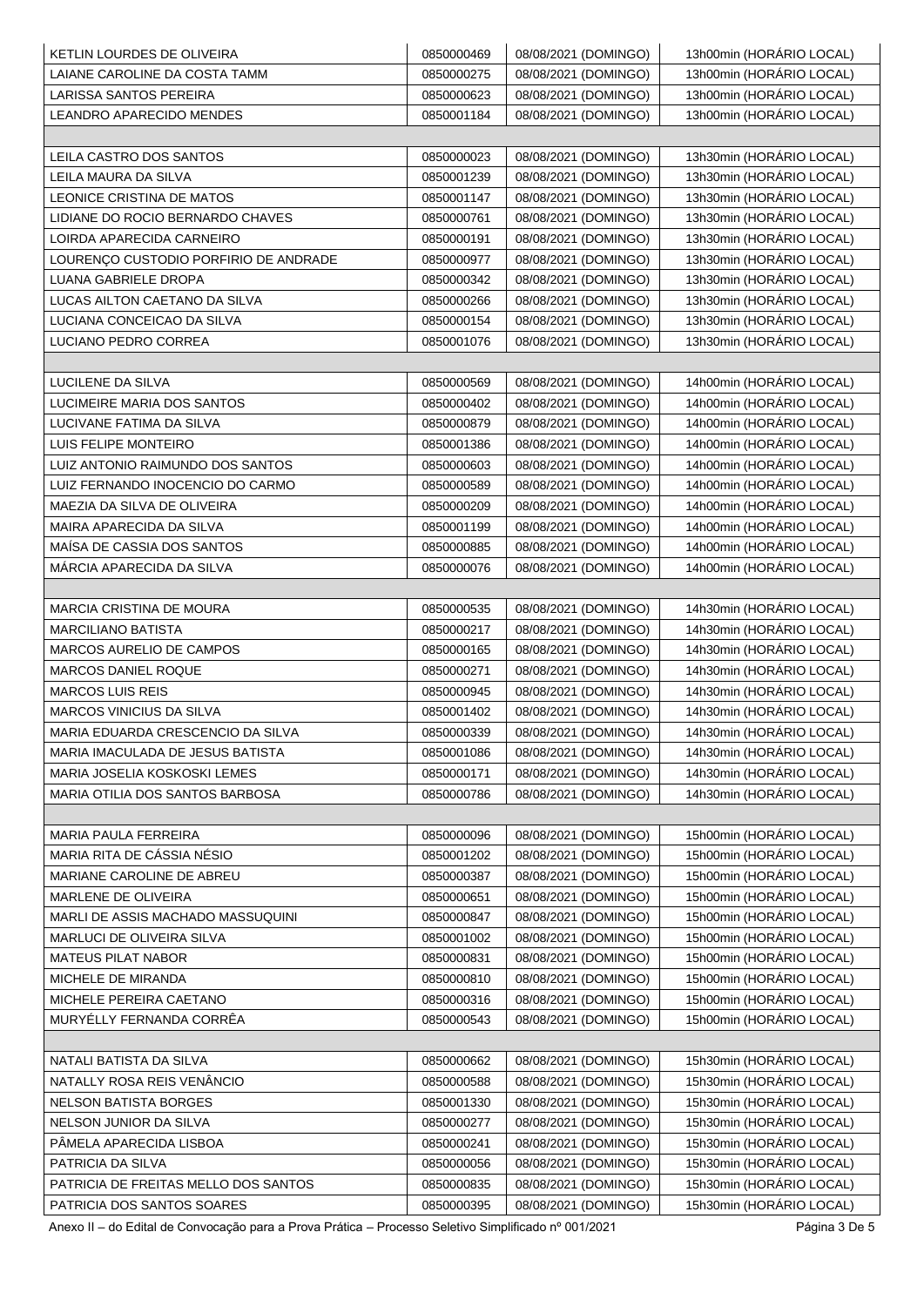| KETLIN LOURDES DE OLIVEIRA            | 0850000469 | 08/08/2021 (DOMINGO) | 13h00min (HORÁRIO LOCAL) |
|---------------------------------------|------------|----------------------|--------------------------|
| LAIANE CAROLINE DA COSTA TAMM         | 0850000275 | 08/08/2021 (DOMINGO) | 13h00min (HORÁRIO LOCAL) |
| LARISSA SANTOS PEREIRA                | 0850000623 | 08/08/2021 (DOMINGO) | 13h00min (HORÁRIO LOCAL) |
| LEANDRO APARECIDO MENDES              | 0850001184 | 08/08/2021 (DOMINGO) | 13h00min (HORÁRIO LOCAL) |
|                                       |            |                      |                          |
| LEILA CASTRO DOS SANTOS               | 0850000023 | 08/08/2021 (DOMINGO) | 13h30min (HORÁRIO LOCAL) |
| LEILA MAURA DA SILVA                  | 0850001239 | 08/08/2021 (DOMINGO) | 13h30min (HORÁRIO LOCAL) |
| LEONICE CRISTINA DE MATOS             | 0850001147 | 08/08/2021 (DOMINGO) | 13h30min (HORÁRIO LOCAL) |
| LIDIANE DO ROCIO BERNARDO CHAVES      | 0850000761 | 08/08/2021 (DOMINGO) | 13h30min (HORÁRIO LOCAL) |
| LOIRDA APARECIDA CARNEIRO             | 0850000191 | 08/08/2021 (DOMINGO) | 13h30min (HORÁRIO LOCAL) |
| LOURENÇO CUSTODIO PORFIRIO DE ANDRADE | 0850000977 | 08/08/2021 (DOMINGO) | 13h30min (HORÁRIO LOCAL) |
| LUANA GABRIELE DROPA                  | 0850000342 | 08/08/2021 (DOMINGO) | 13h30min (HORÁRIO LOCAL) |
| LUCAS AILTON CAETANO DA SILVA         | 0850000266 | 08/08/2021 (DOMINGO) | 13h30min (HORÁRIO LOCAL) |
| LUCIANA CONCEICAO DA SILVA            | 0850000154 | 08/08/2021 (DOMINGO) | 13h30min (HORÁRIO LOCAL) |
| LUCIANO PEDRO CORREA                  | 0850001076 | 08/08/2021 (DOMINGO) | 13h30min (HORÁRIO LOCAL) |
|                                       |            |                      |                          |
| LUCILENE DA SILVA                     | 0850000569 | 08/08/2021 (DOMINGO) | 14h00min (HORÁRIO LOCAL) |
| LUCIMEIRE MARIA DOS SANTOS            | 0850000402 | 08/08/2021 (DOMINGO) | 14h00min (HORÁRIO LOCAL) |
| LUCIVANE FATIMA DA SILVA              | 0850000879 | 08/08/2021 (DOMINGO) | 14h00min (HORÁRIO LOCAL) |
| LUIS FELIPE MONTEIRO                  | 0850001386 | 08/08/2021 (DOMINGO) | 14h00min (HORÁRIO LOCAL) |
| LUIZ ANTONIO RAIMUNDO DOS SANTOS      | 0850000603 | 08/08/2021 (DOMINGO) | 14h00min (HORÁRIO LOCAL) |
| LUIZ FERNANDO INOCENCIO DO CARMO      | 0850000589 | 08/08/2021 (DOMINGO) | 14h00min (HORÁRIO LOCAL) |
| MAEZIA DA SILVA DE OLIVEIRA           | 0850000209 | 08/08/2021 (DOMINGO) | 14h00min (HORÁRIO LOCAL) |
| MAIRA APARECIDA DA SILVA              | 0850001199 | 08/08/2021 (DOMINGO) | 14h00min (HORÁRIO LOCAL) |
| MAÍSA DE CASSIA DOS SANTOS            | 0850000885 | 08/08/2021 (DOMINGO) | 14h00min (HORÁRIO LOCAL) |
| MÁRCIA APARECIDA DA SILVA             | 0850000076 | 08/08/2021 (DOMINGO) | 14h00min (HORÁRIO LOCAL) |
|                                       |            |                      |                          |
| <b>MARCIA CRISTINA DE MOURA</b>       | 0850000535 | 08/08/2021 (DOMINGO) | 14h30min (HORÁRIO LOCAL) |
| MARCILIANO BATISTA                    | 0850000217 | 08/08/2021 (DOMINGO) | 14h30min (HORÁRIO LOCAL) |
| MARCOS AURELIO DE CAMPOS              | 0850000165 | 08/08/2021 (DOMINGO) | 14h30min (HORÁRIO LOCAL) |
| <b>MARCOS DANIEL ROQUE</b>            | 0850000271 | 08/08/2021 (DOMINGO) | 14h30min (HORÁRIO LOCAL) |
| <b>MARCOS LUIS REIS</b>               | 0850000945 | 08/08/2021 (DOMINGO) | 14h30min (HORÁRIO LOCAL) |
| <b>MARCOS VINICIUS DA SILVA</b>       | 0850001402 | 08/08/2021 (DOMINGO) | 14h30min (HORÁRIO LOCAL) |
| MARIA EDUARDA CRESCENCIO DA SILVA     | 0850000339 | 08/08/2021 (DOMINGO) | 14h30min (HORÁRIO LOCAL) |
| MARIA IMACULADA DE JESUS BATISTA      | 0850001086 | 08/08/2021 (DOMINGO) | 14h30min (HORÁRIO LOCAL) |
| MARIA JOSELIA KOSKOSKI LEMES          | 0850000171 | 08/08/2021 (DOMINGO) | 14h30min (HORÁRIO LOCAL) |
| MARIA OTILIA DOS SANTOS BARBOSA       | 0850000786 | 08/08/2021 (DOMINGO) | 14h30min (HORÁRIO LOCAL) |
| MARIA PAULA FERREIRA                  | 0850000096 | 08/08/2021 (DOMINGO) | 15h00min (HORÁRIO LOCAL) |
| MARIA RITA DE CÁSSIA NÉSIO            | 0850001202 | 08/08/2021 (DOMINGO) | 15h00min (HORÁRIO LOCAL) |
| MARIANE CAROLINE DE ABREU             | 0850000387 | 08/08/2021 (DOMINGO) | 15h00min (HORÁRIO LOCAL) |
| MARLENE DE OLIVEIRA                   | 0850000651 | 08/08/2021 (DOMINGO) | 15h00min (HORÁRIO LOCAL) |
| MARLI DE ASSIS MACHADO MASSUQUINI     | 0850000847 | 08/08/2021 (DOMINGO) | 15h00min (HORÁRIO LOCAL) |
| MARLUCI DE OLIVEIRA SILVA             | 0850001002 | 08/08/2021 (DOMINGO) | 15h00min (HORÁRIO LOCAL) |
| <b>MATEUS PILAT NABOR</b>             | 0850000831 | 08/08/2021 (DOMINGO) | 15h00min (HORÁRIO LOCAL) |
| MICHELE DE MIRANDA                    | 0850000810 | 08/08/2021 (DOMINGO) | 15h00min (HORÁRIO LOCAL) |
| MICHELE PEREIRA CAETANO               | 0850000316 | 08/08/2021 (DOMINGO) | 15h00min (HORÁRIO LOCAL) |
| MURYÉLLY FERNANDA CORRÊA              | 0850000543 | 08/08/2021 (DOMINGO) | 15h00min (HORÁRIO LOCAL) |
|                                       |            |                      |                          |
| NATALI BATISTA DA SILVA               | 0850000662 | 08/08/2021 (DOMINGO) | 15h30min (HORÁRIO LOCAL) |
| NATALLY ROSA REIS VENÂNCIO            | 0850000588 | 08/08/2021 (DOMINGO) | 15h30min (HORÁRIO LOCAL) |
| NELSON BATISTA BORGES                 | 0850001330 | 08/08/2021 (DOMINGO) | 15h30min (HORÁRIO LOCAL) |
| NELSON JUNIOR DA SILVA                | 0850000277 | 08/08/2021 (DOMINGO) | 15h30min (HORÁRIO LOCAL) |
| PÂMELA APARECIDA LISBOA               | 0850000241 | 08/08/2021 (DOMINGO) | 15h30min (HORÁRIO LOCAL) |
| PATRICIA DA SILVA                     | 0850000056 | 08/08/2021 (DOMINGO) | 15h30min (HORÁRIO LOCAL) |
| PATRICIA DE FREITAS MELLO DOS SANTOS  | 0850000835 | 08/08/2021 (DOMINGO) | 15h30min (HORÁRIO LOCAL) |
| PATRICIA DOS SANTOS SOARES            | 0850000395 | 08/08/2021 (DOMINGO) | 15h30min (HORÁRIO LOCAL) |

Anexo II – do Edital de Convocação para a Prova Prática – Processo Seletivo Simplificado nº 001/2021 Página 3 De 5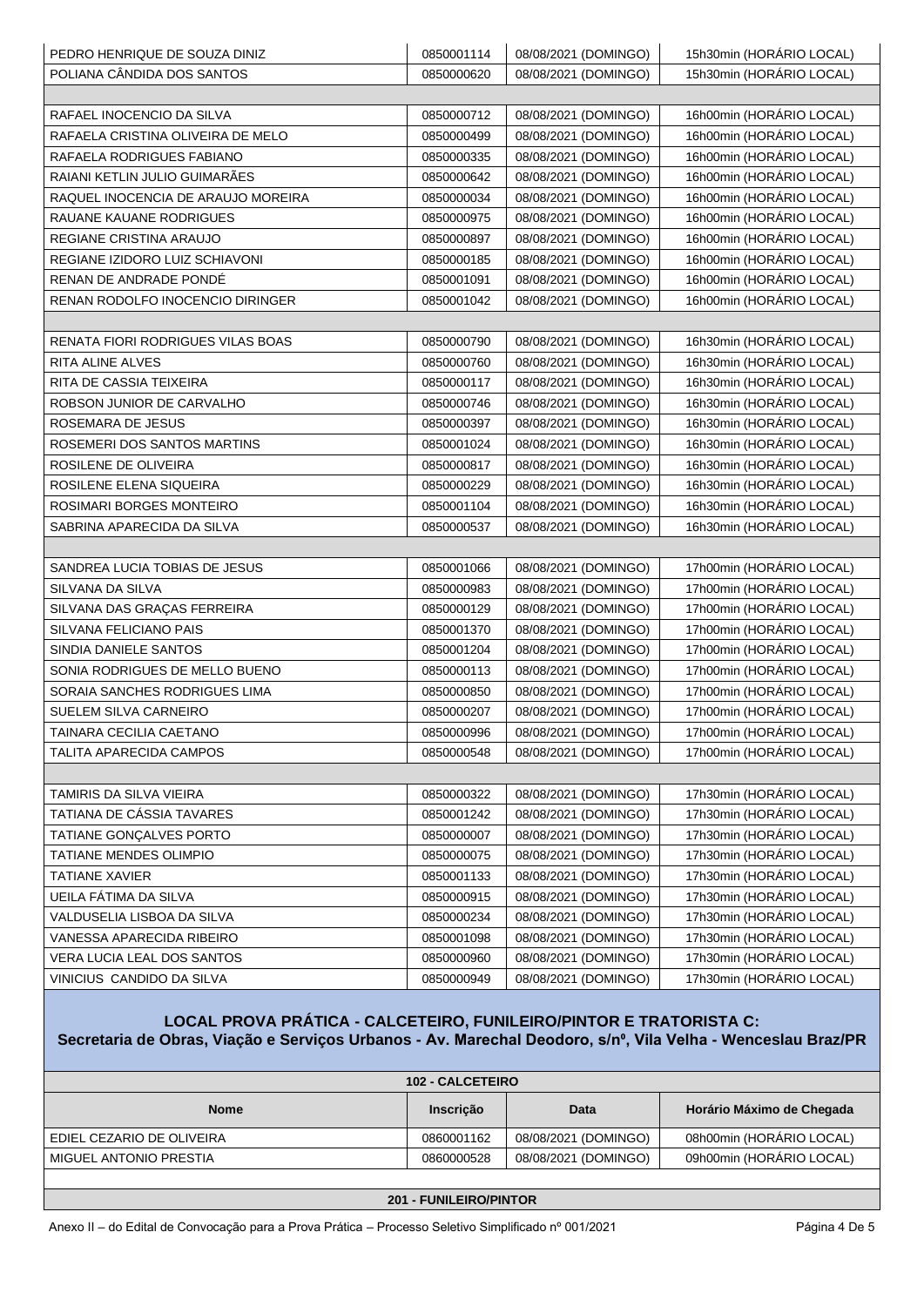| PEDRO HENRIQUE DE SOUZA DINIZ      | 0850001114 | 08/08/2021 (DOMINGO) | 15h30min (HORÁRIO LOCAL) |
|------------------------------------|------------|----------------------|--------------------------|
| POLIANA CÂNDIDA DOS SANTOS         | 0850000620 | 08/08/2021 (DOMINGO) | 15h30min (HORÁRIO LOCAL) |
|                                    |            |                      |                          |
| RAFAEL INOCENCIO DA SILVA          | 0850000712 | 08/08/2021 (DOMINGO) | 16h00min (HORÁRIO LOCAL) |
| RAFAELA CRISTINA OLIVEIRA DE MELO  | 0850000499 | 08/08/2021 (DOMINGO) | 16h00min (HORÁRIO LOCAL) |
| RAFAELA RODRIGUES FABIANO          | 0850000335 | 08/08/2021 (DOMINGO) | 16h00min (HORÁRIO LOCAL) |
| RAIANI KETLIN JULIO GUIMARÃES      | 0850000642 | 08/08/2021 (DOMINGO) | 16h00min (HORÁRIO LOCAL) |
| RAQUEL INOCENCIA DE ARAUJO MOREIRA | 0850000034 | 08/08/2021 (DOMINGO) | 16h00min (HORÁRIO LOCAL) |
| RAUANE KAUANE RODRIGUES            | 0850000975 | 08/08/2021 (DOMINGO) | 16h00min (HORÁRIO LOCAL) |
| REGIANE CRISTINA ARAUJO            | 0850000897 | 08/08/2021 (DOMINGO) | 16h00min (HORÁRIO LOCAL) |
| REGIANE IZIDORO LUIZ SCHIAVONI     | 0850000185 | 08/08/2021 (DOMINGO) | 16h00min (HORÁRIO LOCAL) |
| RENAN DE ANDRADE PONDÉ             | 0850001091 | 08/08/2021 (DOMINGO) | 16h00min (HORÁRIO LOCAL) |
| RENAN RODOLFO INOCENCIO DIRINGER   | 0850001042 | 08/08/2021 (DOMINGO) | 16h00min (HORÁRIO LOCAL) |
|                                    |            |                      |                          |
| RENATA FIORI RODRIGUES VILAS BOAS  | 0850000790 | 08/08/2021 (DOMINGO) | 16h30min (HORÁRIO LOCAL) |
| <b>RITA ALINE ALVES</b>            | 0850000760 | 08/08/2021 (DOMINGO) | 16h30min (HORÁRIO LOCAL) |
| RITA DE CASSIA TEIXEIRA            | 0850000117 | 08/08/2021 (DOMINGO) | 16h30min (HORÁRIO LOCAL) |
| ROBSON JUNIOR DE CARVALHO          | 0850000746 | 08/08/2021 (DOMINGO) | 16h30min (HORÁRIO LOCAL) |
| ROSEMARA DE JESUS                  | 0850000397 | 08/08/2021 (DOMINGO) | 16h30min (HORÁRIO LOCAL) |
| ROSEMERI DOS SANTOS MARTINS        | 0850001024 | 08/08/2021 (DOMINGO) | 16h30min (HORÁRIO LOCAL) |
| ROSILENE DE OLIVEIRA               | 0850000817 | 08/08/2021 (DOMINGO) | 16h30min (HORÁRIO LOCAL) |
| ROSILENE ELENA SIQUEIRA            | 0850000229 | 08/08/2021 (DOMINGO) | 16h30min (HORÁRIO LOCAL) |
| ROSIMARI BORGES MONTEIRO           | 0850001104 | 08/08/2021 (DOMINGO) | 16h30min (HORÁRIO LOCAL) |
| SABRINA APARECIDA DA SILVA         | 0850000537 | 08/08/2021 (DOMINGO) | 16h30min (HORÁRIO LOCAL) |
|                                    |            |                      |                          |
| SANDREA LUCIA TOBIAS DE JESUS      | 0850001066 | 08/08/2021 (DOMINGO) | 17h00min (HORÁRIO LOCAL) |
| SILVANA DA SILVA                   | 0850000983 | 08/08/2021 (DOMINGO) | 17h00min (HORÁRIO LOCAL) |
| SILVANA DAS GRAÇAS FERREIRA        | 0850000129 | 08/08/2021 (DOMINGO) | 17h00min (HORÁRIO LOCAL) |
| SILVANA FELICIANO PAIS             | 0850001370 | 08/08/2021 (DOMINGO) | 17h00min (HORARIO LOCAL) |
| SINDIA DANIELE SANTOS              | 0850001204 | 08/08/2021 (DOMINGO) | 17h00min (HORÁRIO LOCAL) |
| SONIA RODRIGUES DE MELLO BUENO     | 0850000113 | 08/08/2021 (DOMINGO) | 17h00min (HORÁRIO LOCAL) |
| SORAIA SANCHES RODRIGUES LIMA      | 0850000850 | 08/08/2021 (DOMINGO) | 17h00min (HORÁRIO LOCAL) |
| <b>SUELEM SILVA CARNEIRO</b>       | 0850000207 | 08/08/2021 (DOMINGO) | 17h00min (HORÁRIO LOCAL) |
| TAINARA CECILIA CAETANO            | 0850000996 | 08/08/2021 (DOMINGO) | 17h00min (HORÁRIO LOCAL) |
| <b>TALITA APARECIDA CAMPOS</b>     | 0850000548 | 08/08/2021 (DOMINGO) | 17h00min (HORÁRIO LOCAL) |
|                                    |            |                      |                          |
| <b>TAMIRIS DA SILVA VIEIRA</b>     | 0850000322 | 08/08/2021 (DOMINGO) | 17h30min (HORÁRIO LOCAL) |
| TATIANA DE CÁSSIA TAVARES          | 0850001242 | 08/08/2021 (DOMINGO) | 17h30min (HORÁRIO LOCAL) |
| TATIANE GONÇALVES PORTO            | 0850000007 | 08/08/2021 (DOMINGO) | 17h30min (HORÁRIO LOCAL) |
| TATIANE MENDES OLIMPIO             | 0850000075 | 08/08/2021 (DOMINGO) | 17h30min (HORÁRIO LOCAL) |
| <b>TATIANE XAVIER</b>              | 0850001133 | 08/08/2021 (DOMINGO) | 17h30min (HORÁRIO LOCAL) |
| UEILA FÁTIMA DA SILVA              | 0850000915 | 08/08/2021 (DOMINGO) | 17h30min (HORÁRIO LOCAL) |
| VALDUSELIA LISBOA DA SILVA         | 0850000234 | 08/08/2021 (DOMINGO) | 17h30min (HORÁRIO LOCAL) |
| VANESSA APARECIDA RIBEIRO          | 0850001098 | 08/08/2021 (DOMINGO) | 17h30min (HORÁRIO LOCAL) |
| VERA LUCIA LEAL DOS SANTOS         | 0850000960 | 08/08/2021 (DOMINGO) | 17h30min (HORÁRIO LOCAL) |
| VINICIUS CANDIDO DA SILVA          | 0850000949 | 08/08/2021 (DOMINGO) | 17h30min (HORÁRIO LOCAL) |
|                                    |            |                      |                          |

**LOCAL PROVA PRÁTICA - CALCETEIRO, FUNILEIRO/PINTOR E TRATORISTA C: Secretaria de Obras, Viação e Serviços Urbanos - Av. Marechal Deodoro, s/n⁰, Vila Velha - Wenceslau Braz/PR**

| <b>102 - CALCETEIRO</b>   |                  |                      |                           |
|---------------------------|------------------|----------------------|---------------------------|
| <b>Nome</b>               | <b>Inscricão</b> | Data                 | Horário Máximo de Chegada |
| EDIEL CEZARIO DE OLIVEIRA | 0860001162       | 08/08/2021 (DOMINGO) | 08h00min (HORARIO LOCAL)  |
| MIGUEL ANTONIO PRESTIA    | 0860000528       | 08/08/2021 (DOMINGO) | 09h00min (HORARIO LOCAL)  |
|                           |                  |                      |                           |

**201 - FUNILEIRO/PINTOR**